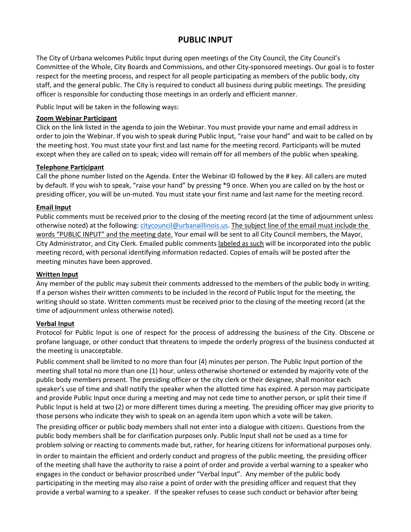# **PUBLIC INPUT**

The City of Urbana welcomes Public Input during open meetings of the City Council, the City Council's Committee of the Whole, City Boards and Commissions, and other City-sponsored meetings. Our goal is to foster respect for the meeting process, and respect for all people participating as members of the public body, city staff, and the general public. The City is required to conduct all business during public meetings. The presiding officer is responsible for conducting those meetings in an orderly and efficient manner.

Public Input will be taken in the following ways:

#### **Zoom Webinar Participant**

Click on the link listed in the agenda to join the Webinar. You must provide your name and email address in order to join the Webinar. If you wish to speak during Public Input, "raise your hand" and wait to be called on by the meeting host. You must state your first and last name for the meeting record. Participants will be muted except when they are called on to speak; video will remain off for all members of the public when speaking.

## **Telephone Participant**

Call the phone number listed on the Agenda. Enter the Webinar ID followed by the # key. All callers are muted by default. If you wish to speak, "raise your hand" by pressing \*9 once. When you are called on by the host or presiding officer, you will be un-muted. You must state your first name and last name for the meeting record.

## **Email Input**

Public comments must be received prior to the closing of the meeting record (at the time of adjournment unless otherwise noted) at the following: [citycouncil@urbanaillinois.us.](mailto:citycouncil@urbanaillinois.us) The subject line of the email must include the words "PUBLIC INPUT" and the meeting date. Your email will be sent to all City Council members, the Mayor, City Administrator, and City Clerk. Emailed public comments labeled as such will be incorporated into the public meeting record, with personal identifying information redacted. Copies of emails will be posted after the meeting minutes have been approved.

#### **Written Input**

Any member of the public may submit their comments addressed to the members of the public body in writing. If a person wishes their written comments to be included in the record of Public Input for the meeting, the writing should so state. Written comments must be received prior to the closing of the meeting record (at the time of adjournment unless otherwise noted).

#### **Verbal Input**

Protocol for Public Input is one of respect for the process of addressing the business of the City. Obscene or profane language, or other conduct that threatens to impede the orderly progress of the business conducted at the meeting is unacceptable.

Public comment shall be limited to no more than four (4) minutes per person. The Public Input portion of the meeting shall total no more than one (1) hour, unless otherwise shortened or extended by majority vote of the public body members present. The presiding officer or the city clerk or their designee, shall monitor each speaker's use of time and shall notify the speaker when the allotted time has expired. A person may participate and provide Public Input once during a meeting and may not cede time to another person, or split their time if Public Input is held at two (2) or more different times during a meeting. The presiding officer may give priority to those persons who indicate they wish to speak on an agenda item upon which a vote will be taken.

The presiding officer or public body members shall not enter into a dialogue with citizens. Questions from the public body members shall be for clarification purposes only. Public Input shall not be used as a time for problem solving or reacting to comments made but, rather, for hearing citizens for informational purposes only.

In order to maintain the efficient and orderly conduct and progress of the public meeting, the presiding officer of the meeting shall have the authority to raise a point of order and provide a verbal warning to a speaker who engages in the conduct or behavior proscribed under "Verbal Input". Any member of the public body participating in the meeting may also raise a point of order with the presiding officer and request that they provide a verbal warning to a speaker. If the speaker refuses to cease such conduct or behavior after being